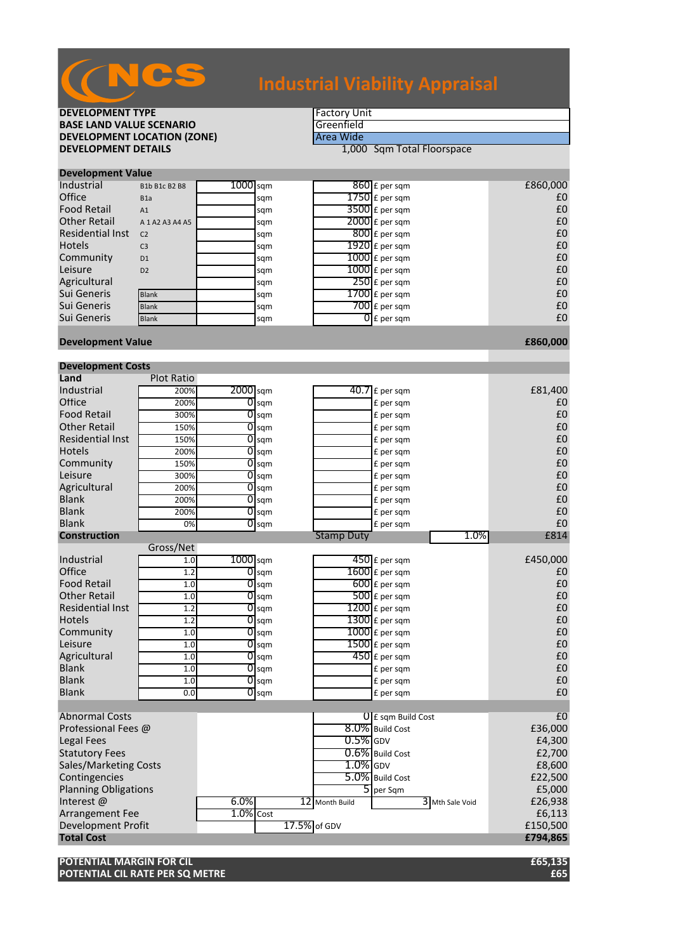

# **Industrial Viability Appraisal**

## **DEVELOPMENT TYPE**<br> **BASE LAND VALUE SCENARIO BASE LAND VALUE SCENARIO<br>
DEVELOPMENT LOCATION (ZONE)** The Contract of Area Wide **DEVELOPMENT LOCATION (ZONE)**<br>DEVELOPMENT DETAILS

1,000 Sqm Total Floorspace

| <b>Development Value</b> |  |  |
|--------------------------|--|--|
|                          |  |  |

| Industrial              | B1b B1c B2 B8       | $1000$ sam |     | $860$ £ per sqm            | £860,000 |
|-------------------------|---------------------|------------|-----|----------------------------|----------|
| Office                  | B <sub>1</sub> a    |            | sqm | $1750 \text{ f}$ per sqm   | £C       |
| <b>Food Retail</b>      | A1                  |            | sqm | $3500$ E per sqm           | £C       |
| <b>Other Retail</b>     | A 1 A 2 A 3 A 4 A 5 |            | sqm | $2000$ £ per sqm           | £C       |
| <b>Residential Inst</b> | C <sub>2</sub>      |            | sqm | $\overline{800}$ E per sqm | £C       |
| Hotels                  | C <sub>3</sub>      |            | sqm | $1920$ £ per sqm           | £C       |
| Community               | D <sub>1</sub>      |            | sqm | $1000$ $E$ per sqm         | £C       |
| Leisure                 | D <sub>2</sub>      |            | sqm | $1000$ $E$ per sqm         | £C       |
| Agricultural            |                     |            | sqm | $250$ $E$ per sqm          | £C       |
| Sui Generis             | <b>Blank</b>        |            | sqm | $1700$ E per sqm           | £C       |
| Sui Generis             | <b>Blank</b>        |            | sqm | $700$ E per sqm            | £C       |
| Sui Generis             | <b>Blank</b>        |            | sqm | $\overline{0}$ E per sqm   | £C       |
|                         |                     |            |     |                            |          |

#### **Development Value £860,000**

Development

| Development Costs           |                   |            |                    |                   |                             |                 |          |
|-----------------------------|-------------------|------------|--------------------|-------------------|-----------------------------|-----------------|----------|
| Land                        | <b>Plot Ratio</b> |            |                    |                   |                             |                 |          |
| Industrial                  | 200%              | $2000$ sqm |                    |                   | $\overline{40.7}$ £ per sqm |                 | £81,400  |
| Office                      | 200%              |            | $\overline{0}$ sqm |                   | £ per sqm                   |                 | £0       |
| <b>Food Retail</b>          | 300%              | 0          | sqm                |                   | £ per sqm                   |                 | £0       |
| <b>Other Retail</b>         | 150%              | 0          | sqm                |                   | £ per sqm                   |                 | £0       |
| <b>Residential Inst</b>     | 150%              | 01         | sqm                |                   | £ per sqm                   |                 | £0       |
| <b>Hotels</b>               | 200%              |            | $0 \,$ sqm         |                   | £ per sqm                   |                 | £0       |
| Community                   | 150%              |            | $\overline{0}$ sqm |                   | £ per sqm                   |                 | £0       |
| Leisure                     | 300%              | 0          | sqm                |                   | £ per sqm                   |                 | £0       |
| Agricultural                | 200%              | O          | sqm                |                   | £ per sqm                   |                 | £0       |
| <b>Blank</b>                | 200%              | 0          | sqm                |                   | £ per sqm                   |                 | £0       |
| <b>Blank</b>                | 200%              | 0          | sqm                |                   | £ per sqm                   |                 | £0       |
| <b>Blank</b>                | 0%                |            | $\overline{O}$ sqm |                   | £ per sqm                   |                 | £0       |
| <b>Construction</b>         |                   |            |                    | <b>Stamp Duty</b> |                             | 1.0%            | £814     |
|                             | Gross/Net         |            |                    |                   |                             |                 |          |
| Industrial                  | 1.0               | $1000$ sqm |                    |                   | $450$ £ per sqm             |                 | £450,000 |
| Office                      | 1.2               | 0          | sqm                |                   | 1600 £ per sqm              |                 | £0       |
| <b>Food Retail</b>          | 1.0               | 01         | sqm                |                   | $600$ £ per sqm             |                 | £0       |
| <b>Other Retail</b>         | 1.0               |            | $\overline{0}$ sqm |                   | 500 £ per sqm               |                 | £0       |
| <b>Residential Inst</b>     | 1.2               | O          | sqm                |                   | $1200$ £ per sqm            |                 | £0       |
| <b>Hotels</b>               | 1.2               | 0          | sqm                |                   | 1300 £ per sqm              |                 | £0       |
| Community                   | 1.0               |            | $\overline{0}$ sqm |                   | $1000$ £ per sqm            |                 | £0       |
| Leisure                     | 1.0               |            | $\overline{0}$ sqm |                   | $1500$ £ per sqm            |                 | £0       |
| Agricultural                | 1.0               | 0          | sqm                |                   | $450$ £ per sqm             |                 | £0       |
| <b>Blank</b>                | 1.0               | 0          | sqm                |                   | £ per sqm                   |                 | £0       |
| <b>Blank</b>                | 1.0               |            | $0$ sqm            |                   | £ per sqm                   |                 | £0       |
| <b>Blank</b>                | 0.0               |            | $0$ sqm            |                   | £ per sqm                   |                 | £0       |
|                             |                   |            |                    |                   |                             |                 |          |
| <b>Abnormal Costs</b>       |                   |            |                    |                   | O E sqm Build Cost          |                 | £0       |
| Professional Fees @         |                   |            |                    |                   | 8.0% Build Cost             |                 | £36,000  |
| <b>Legal Fees</b>           |                   |            |                    | $0.5\%$ GDV       |                             |                 | £4,300   |
| <b>Statutory Fees</b>       |                   |            |                    |                   | 0.6% Build Cost             |                 | £2,700   |
| Sales/Marketing Costs       |                   |            |                    | $1.0\%$ GDV       |                             |                 | £8,600   |
| Contingencies               |                   |            |                    |                   | 5.0% Build Cost             |                 | £22,500  |
| <b>Planning Obligations</b> |                   |            |                    |                   | $5$ per Sqm                 |                 | £5,000   |
| Interest@                   |                   | 6.0%       |                    | 12 Month Build    |                             | 3 Mth Sale Void | £26,938  |
| <b>Arrangement Fee</b>      |                   | 1.0% Cost  |                    |                   |                             |                 | £6,113   |
| <b>Development Profit</b>   |                   |            |                    | 17.5% of GDV      |                             |                 | £150,500 |
| <b>Total Cost</b>           |                   |            |                    |                   |                             |                 | £794,865 |
|                             |                   |            |                    |                   |                             |                 |          |

**POTENTIAL MARGIN FOR CIL £65,135 POTENTIAL CIL RATE PER SQ METRE**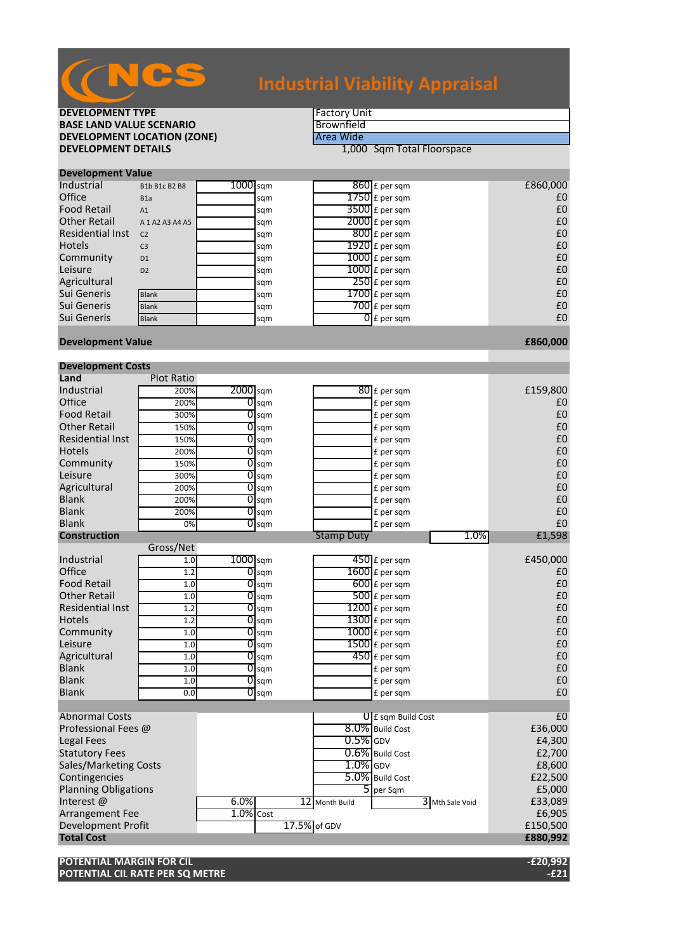

# **Industrial Viability Appraisal**

## **DEVELOPMENT TYPE**<br> **BASE LAND VALUE SCENARIO BASE LAND VALUE SCENARIO**<br> **DEVELOPMENT LOCATION (ZONE) EXPRESSION AND A LOCATION (ZONE) DEVELOPMENT LOCATION (ZONE)**<br>DEVELOPMENT DETAILS

1,000 Sqm Total Floorspace

|  | <b>Development Value</b> |  |
|--|--------------------------|--|
|--|--------------------------|--|

| Industrial              | B1b B1c B2 B8       | $1000$ sqm |     | $860$ £ per sqm          | £860,000 |
|-------------------------|---------------------|------------|-----|--------------------------|----------|
| Office                  | B <sub>1</sub> a    |            | sqm | $1750$ $E$ per sqm       | £C       |
| <b>Food Retail</b>      | A1                  |            | sqm | $3500$ E per sqm         | £C       |
| <b>Other Retail</b>     | A 1 A 2 A 3 A 4 A 5 |            | sqm | $2000$ £ per sqm         | £C       |
| <b>Residential Inst</b> | C <sub>2</sub>      |            | sqm | $800$ E per sqm          | £C       |
| <b>Hotels</b>           | C <sub>3</sub>      |            | sqm | $1920$ £ per sqm         | £C       |
| Community               | D <sub>1</sub>      |            | sqm | $1000$ E per sqm         | £C       |
| Leisure                 | D <sub>2</sub>      |            | sqm | $1000$ $E$ per sqm       | £C       |
| Agricultural            |                     |            | sqm | $250$ £ per sqm          | £C       |
| Sui Generis             | <b>Blank</b>        |            | sqm | $1700$ £ per sqm         | £C       |
| Sui Generis             | <b>Blank</b>        |            | sqm | $700$ £ per sqm          | £C       |
| Sui Generis             | <b>Blank</b>        |            | sqm | $\overline{0}$ E per sqm | £C       |

#### **Development Value £860,000**

**Development Costs**

| Development Costs            |                   |                |                     |                   |                    |          |
|------------------------------|-------------------|----------------|---------------------|-------------------|--------------------|----------|
| Land                         | <b>Plot Ratio</b> |                |                     |                   |                    |          |
| Industrial                   | 200%              | $2000$ sqm     |                     |                   | 80 £ per sqm       | £159,800 |
| Office                       | 200%              |                | $\overline{0}$ sqm  |                   | £ per sqm          | £0       |
| <b>Food Retail</b>           | 300%              | 0              | sqm                 |                   | £ per sqm          | £0       |
| <b>Other Retail</b>          | 150%              | 0              | sqm                 |                   | £ per sqm          | £0       |
| <b>Residential Inst</b>      | 150%              |                | $\overline{0}$ sqm  |                   | £ per sqm          | £0       |
| <b>Hotels</b>                | 200%              |                | $0 \, \mathrm{sgm}$ |                   | £ per sqm          | £0       |
| Community                    | 150%              | 0              | sqm                 |                   | £ per sqm          | £0       |
| Leisure                      | 300%              | 0              | sqm                 |                   | £ per sqm          | £0       |
| Agricultural                 | 200%              | 01             | sqm                 |                   | £ per sqm          | £0       |
| <b>Blank</b>                 | 200%              |                | $\overline{O}$ sqm  |                   | £ per sqm          | £0       |
| <b>Blank</b>                 | 200%              | 0              | sqm                 |                   | £ per sqm          | £0       |
| <b>Blank</b>                 | 0%                |                | $0$ sqm             |                   | £ per sqm          | £0       |
| <b>Construction</b>          |                   |                |                     | <b>Stamp Duty</b> | 1.0%               | £1,598   |
|                              | Gross/Net         |                |                     |                   |                    |          |
| Industrial                   | 1.0               | $1000$ sqm     |                     |                   | $450$ £ per sqm    | £450,000 |
| Office                       | 1.2               | $\overline{0}$ | sqm                 |                   | 1600 £ per sqm     | £0       |
| <b>Food Retail</b>           | 1.0               | 01             | sqm                 |                   | $600$ £ per sqm    | £0       |
| <b>Other Retail</b>          | 1.0               | 0              | sqm                 |                   | $500$ £ per sqm    | £0       |
| <b>Residential Inst</b>      | 1.2               | 0              | sqm                 |                   | $1200$ £ per sqm   | £0       |
| <b>Hotels</b>                | 1.2               | 01             | sqm                 |                   | 1300 £ per sqm     | £0       |
| Community                    | 1.0               |                | $0$ sqm             |                   | $1000$ $f$ per sqm | £0       |
| Leisure                      | 1.0               | 0              | sqm                 |                   | 1500 £ per sqm     | £0       |
| Agricultural                 | 1.0               | 0              | sqm                 |                   | $450$ £ per sqm    | £0       |
| <b>Blank</b>                 | 1.0               |                | $\overline{O}$ sqm  |                   | £ per sqm          | £0       |
| <b>Blank</b>                 | 1.0               |                | $\overline{0}$ sqm  |                   | £ per sqm          | £0       |
| <b>Blank</b>                 | 0.0               |                | $\overline{0}$ sqm  |                   | £ per sqm          | £0       |
|                              |                   |                |                     |                   |                    |          |
| <b>Abnormal Costs</b>        |                   |                |                     |                   | O E sqm Build Cost | £0       |
| Professional Fees @          |                   |                |                     |                   | 8.0% Build Cost    | £36,000  |
| <b>Legal Fees</b>            |                   |                |                     |                   | $0.5\%$ GDV        | £4,300   |
| <b>Statutory Fees</b>        |                   |                |                     |                   | 0.6% Build Cost    | £2,700   |
| <b>Sales/Marketing Costs</b> |                   |                |                     |                   | $1.0\%$ GDV        | £8,600   |
| Contingencies                |                   |                |                     |                   | 5.0% Build Cost    | £22,500  |
| <b>Planning Obligations</b>  |                   |                |                     |                   | 5 per Sqm          | £5,000   |
| Interest@                    |                   | 6.0%           |                     | 12 Month Build    | 3 Mth Sale Void    | £33,089  |
| <b>Arrangement Fee</b>       |                   | $1.0\%$ Cost   |                     |                   |                    | £6,905   |
| Development Profit           |                   |                |                     | 17.5% of GDV      |                    | £150,500 |
| <b>Total Cost</b>            |                   |                |                     |                   |                    | £880,992 |
|                              |                   |                |                     |                   |                    |          |

**POTENTIAL MARGIN FOR CIL -£20,992 POTENTIAL CIL RATE PER SQ METRE**